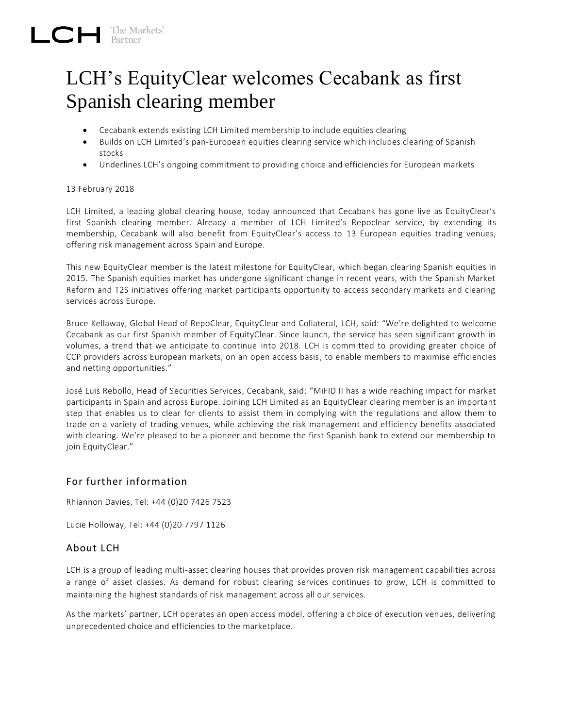## LCH's EquityClear welcomes Cecabank as first Spanish clearing member

- Cecabank extends existing LCH Limited membership to include equities clearing
- $\bullet$  Builds on LCH Limited's pan-European equities clearing service which includes clearing of Spanish stocks
- Underlines LCH's ongoing commitment to providing choice and efficiencies for European markets

## 13 February 2018

LCH Limited, a leading global clearing house, today announced that Cecabank has gone live as EquityClear's first Spanish clearing member. Already a member of LCH Limited's Repoclear service, by extending its membership, Cecabank will also benefit from EquityClear's access to 13 European equities trading venues, offering risk management across Spain and Europe.

This new EquityClear member is the latest milestone for EquityClear, which began clearing Spanish equities in 2015. The Spanish equities market has undergone significant change in recent years, with the Spanish Market Reform and T2S initiatives offering market participants opportunity to access secondary markets and clearing services across Europe.

Bruce Kellaway, Global Head of RepoClear, EquityClear and Collateral, LCH, said: "We're delighted to welcome Cecabank as our first Spanish member of EquityClear. Since launch, the service has seen significant growth in volumes, a trend that we anticipate to continue into 2018. LCH is committed to providing greater choice of CCP providers across European markets, on an open access basis, to enable members to maximise efficiencies and netting opportunities."

José Luis Rebollo, Head of Securities Services, Cecabank, said: "MiFID II has a wide reaching impact for market participants in Spain and across Europe. Joining LCH Limited as an EquityClear clearing member is an important step that enables us to clear for clients to assist them in complying with the regulations and allow them to trade on a variety of trading venues, while achieving the risk management and efficiency benefits associated with clearing. We're pleased to be a pioneer and become the first Spanish bank to extend our membership to join EquityClear."

## For further information

Rhiannon Davies, Tel: +44 (0)20 7426 7523

Lucie Holloway, Tel: +44 (0)20 7797 1126

## About LCH

LCH is a group of leading multi-asset clearing houses that provides proven risk management capabilities across a range of asset classes. As demand for robust clearing services continues to grow, LCH is committed to maintaining the highest standards of risk management across all our services.

As the markets' partner, LCH operates an open access model, offering a choice of execution venues, delivering unprecedented choice and efficiencies to the marketplace.